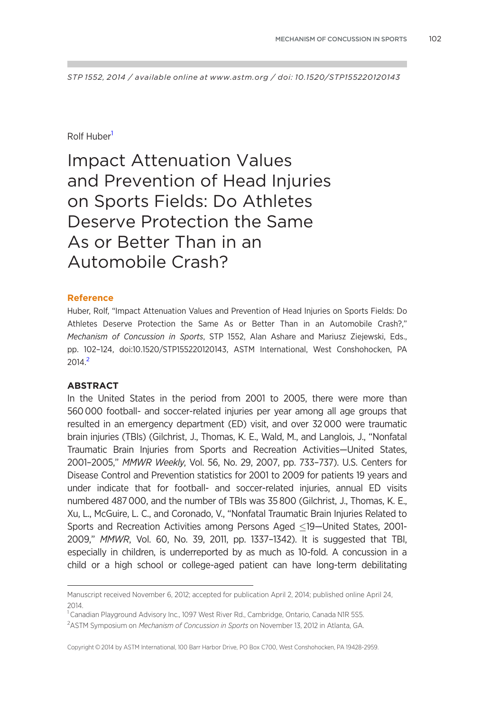STP 1552, 2014 / available online at www.astm.org / doi: 10.1520/STP155220120143

#### Rolf Huber<sup>1</sup>

Impact Attenuation Values and Prevention of Head Injuries on Sports Fields: Do Athletes Deserve Protection the Same As or Better Than in an Automobile Crash?

#### Reference

Huber, Rolf, "Impact Attenuation Values and Prevention of Head Injuries on Sports Fields: Do Athletes Deserve Protection the Same As or Better Than in an Automobile Crash?," Mechanism of Concussion in Sports, STP 1552, Alan Ashare and Mariusz Ziejewski, Eds., pp. 102–124, doi:10.1520/STP155220120143, ASTM International, West Conshohocken, PA 2014.2

#### ABSTRACT

In the United States in the period from 2001 to 2005, there were more than 560 000 football- and soccer-related injuries per year among all age groups that resulted in an emergency department (ED) visit, and over 32 000 were traumatic brain injuries (TBIs) (Gilchrist, J., Thomas, K. E., Wald, M., and Langlois, J., "Nonfatal Traumatic Brain Injuries from Sports and Recreation Activities—United States, 2001–2005," MMWR Weekly, Vol. 56, No. 29, 2007, pp. 733–737). U.S. Centers for Disease Control and Prevention statistics for 2001 to 2009 for patients 19 years and under indicate that for football- and soccer-related injuries, annual ED visits numbered 487 000, and the number of TBIs was 35 800 (Gilchrist, J., Thomas, K. E., Xu, L., McGuire, L. C., and Coronado, V., "Nonfatal Traumatic Brain Injuries Related to Sports and Recreation Activities among Persons Aged <19-United States, 2001-2009," MMWR, Vol. 60, No. 39, 2011, pp. 1337–1342). It is suggested that TBI, especially in children, is underreported by as much as 10-fold. A concussion in a child or a high school or college-aged patient can have long-term debilitating

Manuscript received November 6, 2012; accepted for publication April 2, 2014; published online April 24, 2014.

<sup>&</sup>lt;sup>1</sup> Canadian Playground Advisory Inc., 1097 West River Rd., Cambridge, Ontario, Canada NIR 5S5.

<sup>&</sup>lt;sup>2</sup>ASTM Symposium on Mechanism of Concussion in Sports on November 13, 2012 in Atlanta, GA.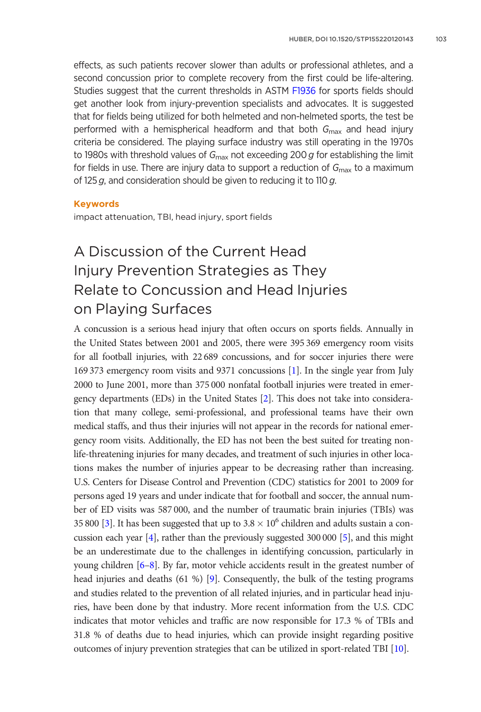effects, as such patients recover slower than adults or professional athletes, and a second concussion prior to complete recovery from the first could be life-altering. Studies suggest that the current thresholds in ASTM [F1936](http://www.astm.org/Standards/F1936) for sports fields should get another look from injury-prevention specialists and advocates. It is suggested that for fields being utilized for both helmeted and non-helmeted sports, the test be performed with a hemispherical headform and that both  $G_{\text{max}}$  and head injury criteria be considered. The playing surface industry was still operating in the 1970s to 1980s with threshold values of  $G_{\text{max}}$  not exceeding 200 g for establishing the limit for fields in use. There are injury data to support a reduction of  $G_{\text{max}}$  to a maximum of 125  $g$ , and consideration should be given to reducing it to 110  $g$ .

#### Keywords

impact attenuation, TBI, head injury, sport fields

# A Discussion of the Current Head Injury Prevention Strategies as They Relate to Concussion and Head Injuries on Playing Surfaces

A concussion is a serious head injury that often occurs on sports fields. Annually in the United States between 2001 and 2005, there were 395 369 emergency room visits for all football injuries, with 22 689 concussions, and for soccer injuries there were 169 373 emergency room visits and 9371 concussions [[1](#page-18-0)]. In the single year from July 2000 to June 2001, more than 375 000 nonfatal football injuries were treated in emergency departments (EDs) in the United States [[2\]](#page-18-0). This does not take into consideration that many college, semi-professional, and professional teams have their own medical staffs, and thus their injuries will not appear in the records for national emergency room visits. Additionally, the ED has not been the best suited for treating nonlife-threatening injuries for many decades, and treatment of such injuries in other locations makes the number of injuries appear to be decreasing rather than increasing. U.S. Centers for Disease Control and Prevention (CDC) statistics for 2001 to 2009 for persons aged 19 years and under indicate that for football and soccer, the annual number of ED visits was 587 000, and the number of traumatic brain injuries (TBIs) was 35 800 [\[3](#page-18-0)]. It has been suggested that up to  $3.8 \times 10^6$  children and adults sustain a concussion each year [\[4](#page-18-0)], rather than the previously suggested 300 000 [[5](#page-18-0)], and this might be an underestimate due to the challenges in identifying concussion, particularly in young children [[6–8](#page-18-0)]. By far, motor vehicle accidents result in the greatest number of head injuries and deaths (61 %) [\[9\]](#page-18-0). Consequently, the bulk of the testing programs and studies related to the prevention of all related injuries, and in particular head injuries, have been done by that industry. More recent information from the U.S. CDC indicates that motor vehicles and traffic are now responsible for 17.3 % of TBIs and 31.8 % of deaths due to head injuries, which can provide insight regarding positive outcomes of injury prevention strategies that can be utilized in sport-related TBI [[10\]](#page-18-0).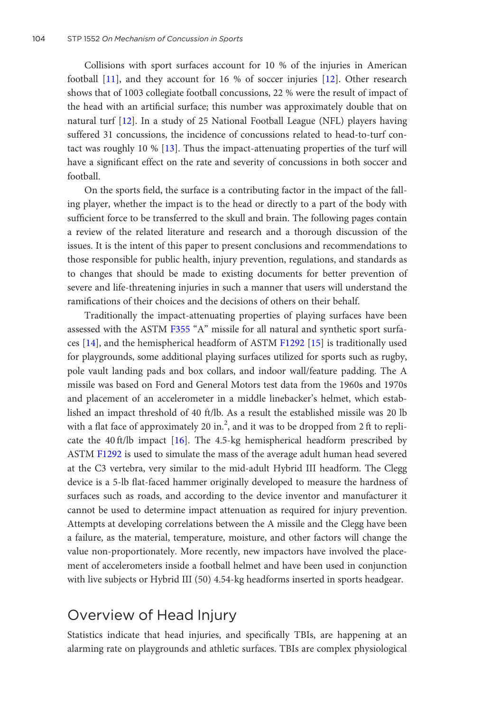Collisions with sport surfaces account for 10 % of the injuries in American football [\[11](#page-19-0)], and they account for 16 % of soccer injuries [\[12\]](#page-19-0). Other research shows that of 1003 collegiate football concussions, 22 % were the result of impact of the head with an artificial surface; this number was approximately double that on natural turf [\[12](#page-19-0)]. In a study of 25 National Football League (NFL) players having suffered 31 concussions, the incidence of concussions related to head-to-turf contact was roughly 10 % [\[13](#page-19-0)]. Thus the impact-attenuating properties of the turf will have a significant effect on the rate and severity of concussions in both soccer and football.

On the sports field, the surface is a contributing factor in the impact of the falling player, whether the impact is to the head or directly to a part of the body with sufficient force to be transferred to the skull and brain. The following pages contain a review of the related literature and research and a thorough discussion of the issues. It is the intent of this paper to present conclusions and recommendations to those responsible for public health, injury prevention, regulations, and standards as to changes that should be made to existing documents for better prevention of severe and life-threatening injuries in such a manner that users will understand the ramifications of their choices and the decisions of others on their behalf.

Traditionally the impact-attenuating properties of playing surfaces have been assessed with the ASTM [F355](http://www.astm.org/Standards/F355) "A" missile for all natural and synthetic sport surfaces [\[14](#page-19-0)], and the hemispherical headform of ASTM [F1292](http://www.astm.org/Standards/F1292) [[15](#page-19-0)] is traditionally used for playgrounds, some additional playing surfaces utilized for sports such as rugby, pole vault landing pads and box collars, and indoor wall/feature padding. The A missile was based on Ford and General Motors test data from the 1960s and 1970s and placement of an accelerometer in a middle linebacker's helmet, which established an impact threshold of 40 ft/lb. As a result the established missile was 20 lb with a flat face of approximately 20 in.<sup>2</sup>, and it was to be dropped from 2 ft to replicate the 40 ft/lb impact [\[16](#page-19-0)]. The 4.5-kg hemispherical headform prescribed by ASTM [F1292](http://www.astm.org/Standards/F1292) is used to simulate the mass of the average adult human head severed at the C3 vertebra, very similar to the mid-adult Hybrid III headform. The Clegg device is a 5-lb flat-faced hammer originally developed to measure the hardness of surfaces such as roads, and according to the device inventor and manufacturer it cannot be used to determine impact attenuation as required for injury prevention. Attempts at developing correlations between the A missile and the Clegg have been a failure, as the material, temperature, moisture, and other factors will change the value non-proportionately. More recently, new impactors have involved the placement of accelerometers inside a football helmet and have been used in conjunction with live subjects or Hybrid III (50) 4.54-kg headforms inserted in sports headgear.

### Overview of Head Injury

Statistics indicate that head injuries, and specifically TBIs, are happening at an alarming rate on playgrounds and athletic surfaces. TBIs are complex physiological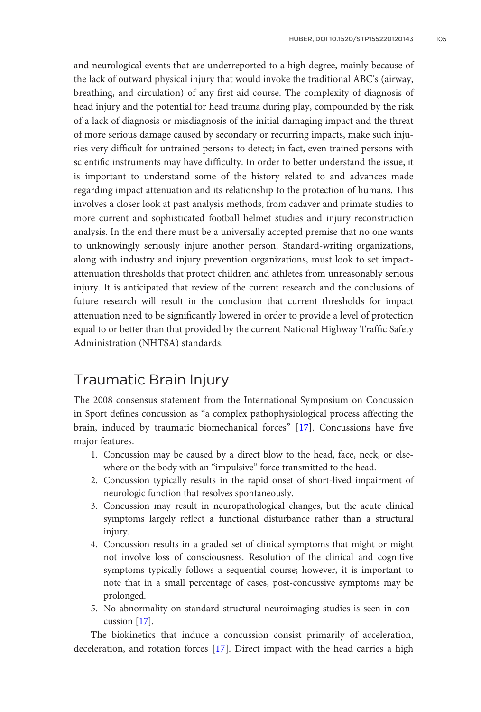and neurological events that are underreported to a high degree, mainly because of the lack of outward physical injury that would invoke the traditional ABC's (airway, breathing, and circulation) of any first aid course. The complexity of diagnosis of head injury and the potential for head trauma during play, compounded by the risk of a lack of diagnosis or misdiagnosis of the initial damaging impact and the threat of more serious damage caused by secondary or recurring impacts, make such injuries very difficult for untrained persons to detect; in fact, even trained persons with scientific instruments may have difficulty. In order to better understand the issue, it is important to understand some of the history related to and advances made regarding impact attenuation and its relationship to the protection of humans. This involves a closer look at past analysis methods, from cadaver and primate studies to more current and sophisticated football helmet studies and injury reconstruction analysis. In the end there must be a universally accepted premise that no one wants to unknowingly seriously injure another person. Standard-writing organizations, along with industry and injury prevention organizations, must look to set impactattenuation thresholds that protect children and athletes from unreasonably serious injury. It is anticipated that review of the current research and the conclusions of future research will result in the conclusion that current thresholds for impact attenuation need to be significantly lowered in order to provide a level of protection equal to or better than that provided by the current National Highway Traffic Safety Administration (NHTSA) standards.

#### Traumatic Brain Injury

The 2008 consensus statement from the International Symposium on Concussion in Sport defines concussion as "a complex pathophysiological process affecting the brain, induced by traumatic biomechanical forces" [[17\]](#page-19-0). Concussions have five major features.

- 1. Concussion may be caused by a direct blow to the head, face, neck, or elsewhere on the body with an "impulsive" force transmitted to the head.
- 2. Concussion typically results in the rapid onset of short-lived impairment of neurologic function that resolves spontaneously.
- 3. Concussion may result in neuropathological changes, but the acute clinical symptoms largely reflect a functional disturbance rather than a structural injury.
- 4. Concussion results in a graded set of clinical symptoms that might or might not involve loss of consciousness. Resolution of the clinical and cognitive symptoms typically follows a sequential course; however, it is important to note that in a small percentage of cases, post-concussive symptoms may be prolonged.
- 5. No abnormality on standard structural neuroimaging studies is seen in concussion [[17\]](#page-19-0).

The biokinetics that induce a concussion consist primarily of acceleration, deceleration, and rotation forces [[17\]](#page-19-0). Direct impact with the head carries a high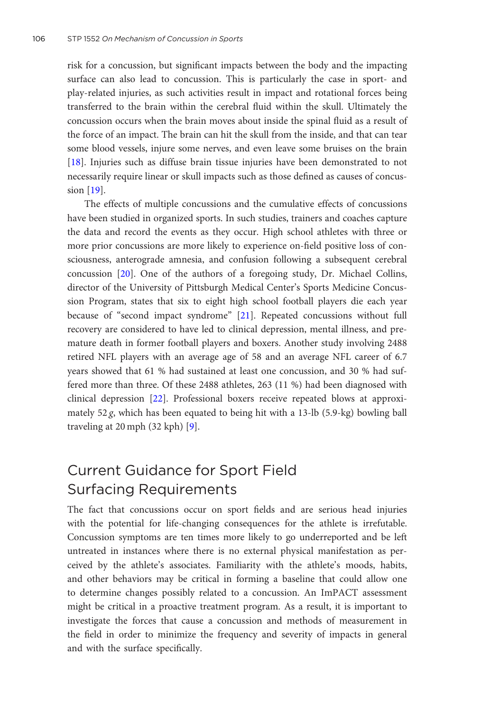risk for a concussion, but significant impacts between the body and the impacting surface can also lead to concussion. This is particularly the case in sport- and play-related injuries, as such activities result in impact and rotational forces being transferred to the brain within the cerebral fluid within the skull. Ultimately the concussion occurs when the brain moves about inside the spinal fluid as a result of the force of an impact. The brain can hit the skull from the inside, and that can tear some blood vessels, injure some nerves, and even leave some bruises on the brain [\[18](#page-19-0)]. Injuries such as diffuse brain tissue injuries have been demonstrated to not necessarily require linear or skull impacts such as those defined as causes of concussion [[19\]](#page-19-0).

The effects of multiple concussions and the cumulative effects of concussions have been studied in organized sports. In such studies, trainers and coaches capture the data and record the events as they occur. High school athletes with three or more prior concussions are more likely to experience on-field positive loss of consciousness, anterograde amnesia, and confusion following a subsequent cerebral concussion [[20\]](#page-19-0). One of the authors of a foregoing study, Dr. Michael Collins, director of the University of Pittsburgh Medical Center's Sports Medicine Concussion Program, states that six to eight high school football players die each year because of "second impact syndrome" [[21](#page-19-0)]. Repeated concussions without full recovery are considered to have led to clinical depression, mental illness, and premature death in former football players and boxers. Another study involving 2488 retired NFL players with an average age of 58 and an average NFL career of 6.7 years showed that 61 % had sustained at least one concussion, and 30 % had suffered more than three. Of these 2488 athletes, 263 (11 %) had been diagnosed with clinical depression [\[22](#page-19-0)]. Professional boxers receive repeated blows at approximately 52 g, which has been equated to being hit with a 13-lb (5.9-kg) bowling ball traveling at 20 mph (32 kph) [\[9\]](#page-18-0).

# Current Guidance for Sport Field Surfacing Requirements

The fact that concussions occur on sport fields and are serious head injuries with the potential for life-changing consequences for the athlete is irrefutable. Concussion symptoms are ten times more likely to go underreported and be left untreated in instances where there is no external physical manifestation as perceived by the athlete's associates. Familiarity with the athlete's moods, habits, and other behaviors may be critical in forming a baseline that could allow one to determine changes possibly related to a concussion. An ImPACT assessment might be critical in a proactive treatment program. As a result, it is important to investigate the forces that cause a concussion and methods of measurement in the field in order to minimize the frequency and severity of impacts in general and with the surface specifically.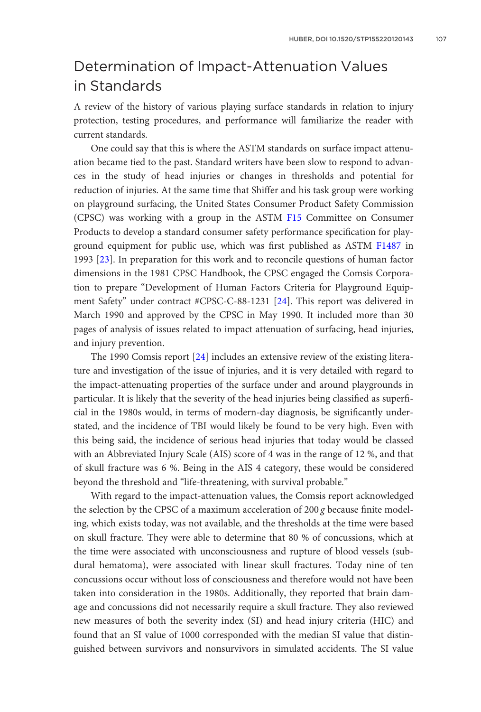# Determination of Impact-Attenuation Values in Standards

A review of the history of various playing surface standards in relation to injury protection, testing procedures, and performance will familiarize the reader with current standards.

One could say that this is where the ASTM standards on surface impact attenuation became tied to the past. Standard writers have been slow to respond to advances in the study of head injuries or changes in thresholds and potential for reduction of injuries. At the same time that Shiffer and his task group were working on playground surfacing, the United States Consumer Product Safety Commission (CPSC) was working with a group in the ASTM [F15](http://www.astm.org/Standards/F15) Committee on Consumer Products to develop a standard consumer safety performance specification for playground equipment for public use, which was first published as ASTM [F1487](http://www.astm.org/Standards/F1487) in 1993 [\[23](#page-19-0)]. In preparation for this work and to reconcile questions of human factor dimensions in the 1981 CPSC Handbook, the CPSC engaged the Comsis Corporation to prepare "Development of Human Factors Criteria for Playground Equipment Safety" under contract #CPSC-C-88-1231 [\[24](#page-19-0)]. This report was delivered in March 1990 and approved by the CPSC in May 1990. It included more than 30 pages of analysis of issues related to impact attenuation of surfacing, head injuries, and injury prevention.

The 1990 Comsis report [\[24](#page-19-0)] includes an extensive review of the existing literature and investigation of the issue of injuries, and it is very detailed with regard to the impact-attenuating properties of the surface under and around playgrounds in particular. It is likely that the severity of the head injuries being classified as superficial in the 1980s would, in terms of modern-day diagnosis, be significantly understated, and the incidence of TBI would likely be found to be very high. Even with this being said, the incidence of serious head injuries that today would be classed with an Abbreviated Injury Scale (AIS) score of 4 was in the range of 12 %, and that of skull fracture was 6 %. Being in the AIS 4 category, these would be considered beyond the threshold and "life-threatening, with survival probable."

With regard to the impact-attenuation values, the Comsis report acknowledged the selection by the CPSC of a maximum acceleration of  $200 g$  because finite modeling, which exists today, was not available, and the thresholds at the time were based on skull fracture. They were able to determine that 80 % of concussions, which at the time were associated with unconsciousness and rupture of blood vessels (subdural hematoma), were associated with linear skull fractures. Today nine of ten concussions occur without loss of consciousness and therefore would not have been taken into consideration in the 1980s. Additionally, they reported that brain damage and concussions did not necessarily require a skull fracture. They also reviewed new measures of both the severity index (SI) and head injury criteria (HIC) and found that an SI value of 1000 corresponded with the median SI value that distinguished between survivors and nonsurvivors in simulated accidents. The SI value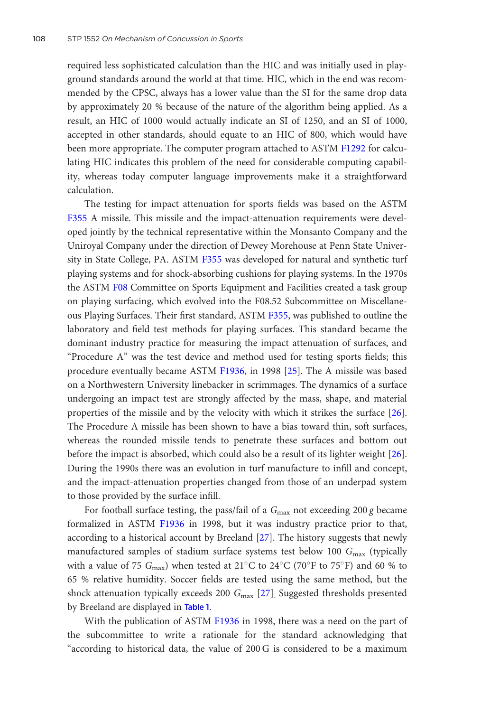required less sophisticated calculation than the HIC and was initially used in playground standards around the world at that time. HIC, which in the end was recommended by the CPSC, always has a lower value than the SI for the same drop data by approximately 20 % because of the nature of the algorithm being applied. As a result, an HIC of 1000 would actually indicate an SI of 1250, and an SI of 1000, accepted in other standards, should equate to an HIC of 800, which would have been more appropriate. The computer program attached to ASTM [F1292](http://www.astm.org/Standards/F1292) for calculating HIC indicates this problem of the need for considerable computing capability, whereas today computer language improvements make it a straightforward calculation.

The testing for impact attenuation for sports fields was based on the ASTM [F355](http://www.astm.org/Standards/F355) A missile. This missile and the impact-attenuation requirements were developed jointly by the technical representative within the Monsanto Company and the Uniroyal Company under the direction of Dewey Morehouse at Penn State Univer-sity in State College, PA. ASTM [F355](http://www.astm.org/Standards/F355) was developed for natural and synthetic turf playing systems and for shock-absorbing cushions for playing systems. In the 1970s the ASTM [F08](http://www.astm.org/Standards/F08) Committee on Sports Equipment and Facilities created a task group on playing surfacing, which evolved into the F08.52 Subcommittee on Miscellaneous Playing Surfaces. Their first standard, ASTM [F355,](http://www.astm.org/Standards/F355) was published to outline the laboratory and field test methods for playing surfaces. This standard became the dominant industry practice for measuring the impact attenuation of surfaces, and "Procedure A" was the test device and method used for testing sports fields; this procedure eventually became ASTM [F1936,](http://www.astm.org/Standards/F1936) in 1998 [[25](#page-19-0)]. The A missile was based on a Northwestern University linebacker in scrimmages. The dynamics of a surface undergoing an impact test are strongly affected by the mass, shape, and material properties of the missile and by the velocity with which it strikes the surface [[26\]](#page-20-0). The Procedure A missile has been shown to have a bias toward thin, soft surfaces, whereas the rounded missile tends to penetrate these surfaces and bottom out before the impact is absorbed, which could also be a result of its lighter weight [[26\]](#page-20-0). During the 1990s there was an evolution in turf manufacture to infill and concept, and the impact-attenuation properties changed from those of an underpad system to those provided by the surface infill.

For football surface testing, the pass/fail of a  $G_{\text{max}}$  not exceeding 200 g became formalized in ASTM [F1936](http://www.astm.org/Standards/F1936) in 1998, but it was industry practice prior to that, according to a historical account by Breeland [[27\]](#page-20-0). The history suggests that newly manufactured samples of stadium surface systems test below 100  $G_{\text{max}}$  (typically with a value of 75  $G_{\text{max}}$ ) when tested at 21°C to 24°C (70°F to 75°F) and 60 % to 65 % relative humidity. Soccer fields are tested using the same method, but the shock attenuation typically exceeds 200  $G_{\text{max}}$  [[27\]](#page-20-0). Suggested thresholds presented by Breeland are displayed in Table [1](#page-7-0).

With the publication of ASTM [F1936](http://www.astm.org/Standards/F1936) in 1998, there was a need on the part of the subcommittee to write a rationale for the standard acknowledging that "according to historical data, the value of 200 G is considered to be a maximum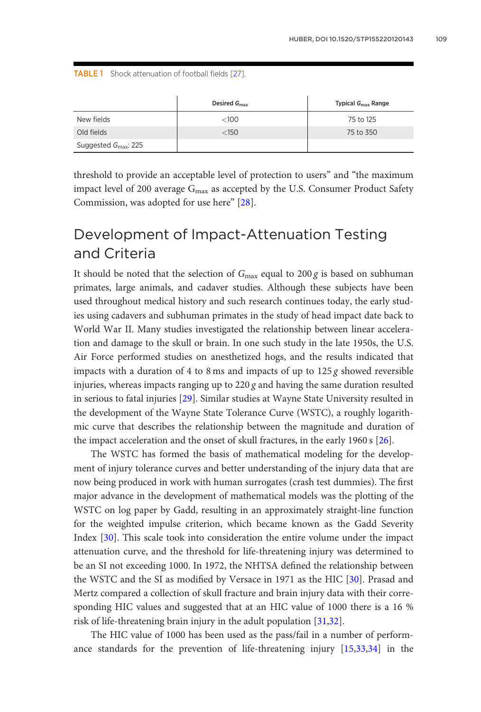<span id="page-7-0"></span>TABLE 1 Shock attenuation of football fields [\[27\]](#page-20-0).

|                                  | Desired $G_{\rm max}$ | Typical $G_{\text{max}}$ Range |
|----------------------------------|-----------------------|--------------------------------|
| New fields                       | <100                  | 75 to 125                      |
| Old fields                       | $<$ 150               | 75 to 350                      |
| Suggested $G_{\text{max}}$ : 225 |                       |                                |

threshold to provide an acceptable level of protection to users" and "the maximum impact level of 200 average  $G_{\text{max}}$  as accepted by the U.S. Consumer Product Safety Commission, was adopted for use here" [\[28](#page-20-0)].

# Development of Impact-Attenuation Testing and Criteria

It should be noted that the selection of  $G_{\text{max}}$  equal to 200 g is based on subhuman primates, large animals, and cadaver studies. Although these subjects have been used throughout medical history and such research continues today, the early studies using cadavers and subhuman primates in the study of head impact date back to World War II. Many studies investigated the relationship between linear acceleration and damage to the skull or brain. In one such study in the late 1950s, the U.S. Air Force performed studies on anesthetized hogs, and the results indicated that impacts with a duration of 4 to 8 ms and impacts of up to  $125 g$  showed reversible injuries, whereas impacts ranging up to  $220 g$  and having the same duration resulted in serious to fatal injuries [[29\]](#page-20-0). Similar studies at Wayne State University resulted in the development of the Wayne State Tolerance Curve (WSTC), a roughly logarithmic curve that describes the relationship between the magnitude and duration of the impact acceleration and the onset of skull fractures, in the early 1960 s [[26\]](#page-20-0).

The WSTC has formed the basis of mathematical modeling for the development of injury tolerance curves and better understanding of the injury data that are now being produced in work with human surrogates (crash test dummies). The first major advance in the development of mathematical models was the plotting of the WSTC on log paper by Gadd, resulting in an approximately straight-line function for the weighted impulse criterion, which became known as the Gadd Severity Index [\[30](#page-20-0)]. This scale took into consideration the entire volume under the impact attenuation curve, and the threshold for life-threatening injury was determined to be an SI not exceeding 1000. In 1972, the NHTSA defined the relationship between the WSTC and the SI as modified by Versace in 1971 as the HIC [[30\]](#page-20-0). Prasad and Mertz compared a collection of skull fracture and brain injury data with their corresponding HIC values and suggested that at an HIC value of 1000 there is a 16 % risk of life-threatening brain injury in the adult population [[31,32](#page-20-0)].

The HIC value of 1000 has been used as the pass/fail in a number of performance standards for the prevention of life-threatening injury [[15](#page-19-0)[,33,34](#page-20-0)] in the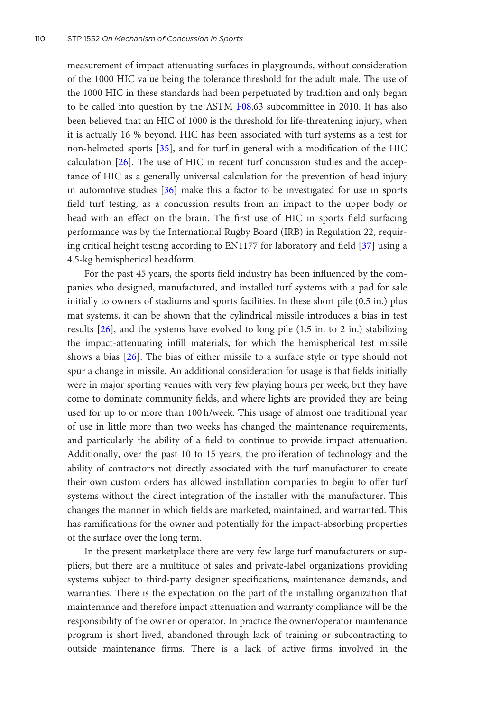measurement of impact-attenuating surfaces in playgrounds, without consideration of the 1000 HIC value being the tolerance threshold for the adult male. The use of the 1000 HIC in these standards had been perpetuated by tradition and only began to be called into question by the ASTM [F08](http://www.astm.org/Standards/F08).63 subcommittee in 2010. It has also been believed that an HIC of 1000 is the threshold for life-threatening injury, when it is actually 16 % beyond. HIC has been associated with turf systems as a test for non-helmeted sports [\[35](#page-20-0)], and for turf in general with a modification of the HIC calculation [[26\]](#page-20-0). The use of HIC in recent turf concussion studies and the acceptance of HIC as a generally universal calculation for the prevention of head injury in automotive studies [[36\]](#page-20-0) make this a factor to be investigated for use in sports field turf testing, as a concussion results from an impact to the upper body or head with an effect on the brain. The first use of HIC in sports field surfacing performance was by the International Rugby Board (IRB) in Regulation 22, requiring critical height testing according to EN1177 for laboratory and field [[37\]](#page-20-0) using a 4.5-kg hemispherical headform.

For the past 45 years, the sports field industry has been influenced by the companies who designed, manufactured, and installed turf systems with a pad for sale initially to owners of stadiums and sports facilities. In these short pile (0.5 in.) plus mat systems, it can be shown that the cylindrical missile introduces a bias in test results [\[26](#page-20-0)], and the systems have evolved to long pile (1.5 in. to 2 in.) stabilizing the impact-attenuating infill materials, for which the hemispherical test missile shows a bias [[26\]](#page-20-0). The bias of either missile to a surface style or type should not spur a change in missile. An additional consideration for usage is that fields initially were in major sporting venues with very few playing hours per week, but they have come to dominate community fields, and where lights are provided they are being used for up to or more than 100 h/week. This usage of almost one traditional year of use in little more than two weeks has changed the maintenance requirements, and particularly the ability of a field to continue to provide impact attenuation. Additionally, over the past 10 to 15 years, the proliferation of technology and the ability of contractors not directly associated with the turf manufacturer to create their own custom orders has allowed installation companies to begin to offer turf systems without the direct integration of the installer with the manufacturer. This changes the manner in which fields are marketed, maintained, and warranted. This has ramifications for the owner and potentially for the impact-absorbing properties of the surface over the long term.

In the present marketplace there are very few large turf manufacturers or suppliers, but there are a multitude of sales and private-label organizations providing systems subject to third-party designer specifications, maintenance demands, and warranties. There is the expectation on the part of the installing organization that maintenance and therefore impact attenuation and warranty compliance will be the responsibility of the owner or operator. In practice the owner/operator maintenance program is short lived, abandoned through lack of training or subcontracting to outside maintenance firms. There is a lack of active firms involved in the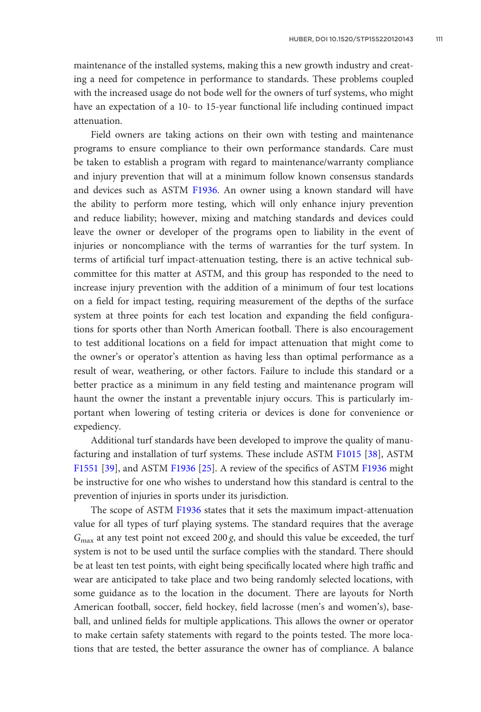maintenance of the installed systems, making this a new growth industry and creating a need for competence in performance to standards. These problems coupled with the increased usage do not bode well for the owners of turf systems, who might have an expectation of a 10- to 15-year functional life including continued impact attenuation.

Field owners are taking actions on their own with testing and maintenance programs to ensure compliance to their own performance standards. Care must be taken to establish a program with regard to maintenance/warranty compliance and injury prevention that will at a minimum follow known consensus standards and devices such as ASTM [F1936](http://www.astm.org/Standards/F1936). An owner using a known standard will have the ability to perform more testing, which will only enhance injury prevention and reduce liability; however, mixing and matching standards and devices could leave the owner or developer of the programs open to liability in the event of injuries or noncompliance with the terms of warranties for the turf system. In terms of artificial turf impact-attenuation testing, there is an active technical subcommittee for this matter at ASTM, and this group has responded to the need to increase injury prevention with the addition of a minimum of four test locations on a field for impact testing, requiring measurement of the depths of the surface system at three points for each test location and expanding the field configurations for sports other than North American football. There is also encouragement to test additional locations on a field for impact attenuation that might come to the owner's or operator's attention as having less than optimal performance as a result of wear, weathering, or other factors. Failure to include this standard or a better practice as a minimum in any field testing and maintenance program will haunt the owner the instant a preventable injury occurs. This is particularly important when lowering of testing criteria or devices is done for convenience or expediency.

Additional turf standards have been developed to improve the quality of manu-facturing and installation of turf systems. These include ASTM [F1015](http://www.astm.org/Standards/F1015) [\[38](#page-20-0)], ASTM [F1551](http://www.astm.org/Standards/F1551) [\[39](#page-20-0)], and ASTM [F1936](http://www.astm.org/Standards/F1936) [[25\]](#page-19-0). A review of the specifics of ASTM [F1936](http://www.astm.org/Standards/F1936) might be instructive for one who wishes to understand how this standard is central to the prevention of injuries in sports under its jurisdiction.

The scope of ASTM [F1936](http://www.astm.org/Standards/F1936) states that it sets the maximum impact-attenuation value for all types of turf playing systems. The standard requires that the average  $G<sub>max</sub>$  at any test point not exceed 200 g, and should this value be exceeded, the turf system is not to be used until the surface complies with the standard. There should be at least ten test points, with eight being specifically located where high traffic and wear are anticipated to take place and two being randomly selected locations, with some guidance as to the location in the document. There are layouts for North American football, soccer, field hockey, field lacrosse (men's and women's), baseball, and unlined fields for multiple applications. This allows the owner or operator to make certain safety statements with regard to the points tested. The more locations that are tested, the better assurance the owner has of compliance. A balance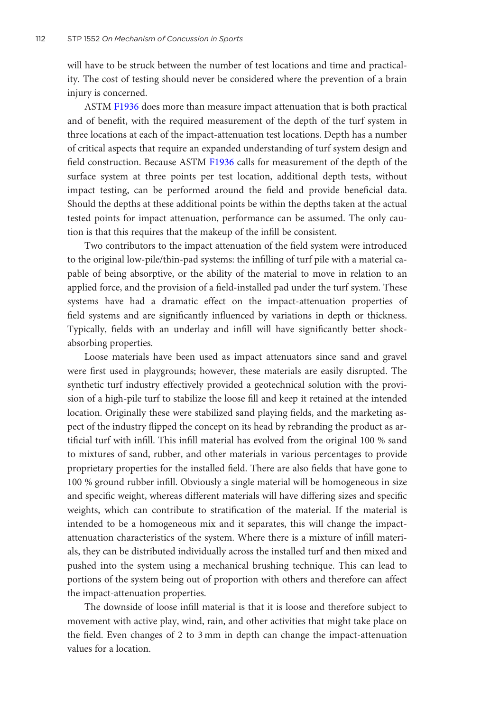will have to be struck between the number of test locations and time and practicality. The cost of testing should never be considered where the prevention of a brain injury is concerned.

ASTM [F1936](http://www.astm.org/Standards/F1936) does more than measure impact attenuation that is both practical and of benefit, with the required measurement of the depth of the turf system in three locations at each of the impact-attenuation test locations. Depth has a number of critical aspects that require an expanded understanding of turf system design and field construction. Because ASTM [F1936](http://www.astm.org/Standards/F1936) calls for measurement of the depth of the surface system at three points per test location, additional depth tests, without impact testing, can be performed around the field and provide beneficial data. Should the depths at these additional points be within the depths taken at the actual tested points for impact attenuation, performance can be assumed. The only caution is that this requires that the makeup of the infill be consistent.

Two contributors to the impact attenuation of the field system were introduced to the original low-pile/thin-pad systems: the infilling of turf pile with a material capable of being absorptive, or the ability of the material to move in relation to an applied force, and the provision of a field-installed pad under the turf system. These systems have had a dramatic effect on the impact-attenuation properties of field systems and are significantly influenced by variations in depth or thickness. Typically, fields with an underlay and infill will have significantly better shockabsorbing properties.

Loose materials have been used as impact attenuators since sand and gravel were first used in playgrounds; however, these materials are easily disrupted. The synthetic turf industry effectively provided a geotechnical solution with the provision of a high-pile turf to stabilize the loose fill and keep it retained at the intended location. Originally these were stabilized sand playing fields, and the marketing aspect of the industry flipped the concept on its head by rebranding the product as artificial turf with infill. This infill material has evolved from the original 100 % sand to mixtures of sand, rubber, and other materials in various percentages to provide proprietary properties for the installed field. There are also fields that have gone to 100 % ground rubber infill. Obviously a single material will be homogeneous in size and specific weight, whereas different materials will have differing sizes and specific weights, which can contribute to stratification of the material. If the material is intended to be a homogeneous mix and it separates, this will change the impactattenuation characteristics of the system. Where there is a mixture of infill materials, they can be distributed individually across the installed turf and then mixed and pushed into the system using a mechanical brushing technique. This can lead to portions of the system being out of proportion with others and therefore can affect the impact-attenuation properties.

The downside of loose infill material is that it is loose and therefore subject to movement with active play, wind, rain, and other activities that might take place on the field. Even changes of 2 to 3 mm in depth can change the impact-attenuation values for a location.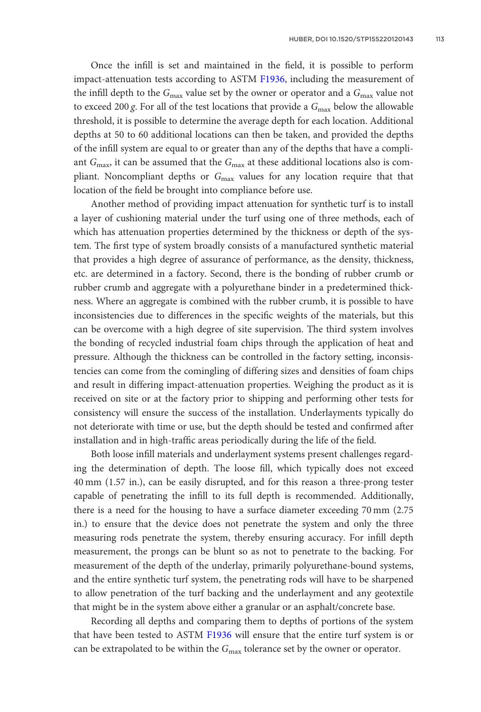Once the infill is set and maintained in the field, it is possible to perform impact-attenuation tests according to ASTM [F1936,](http://www.astm.org/Standards/F1936) including the measurement of the infill depth to the  $G_{\text{max}}$  value set by the owner or operator and a  $G_{\text{max}}$  value not to exceed 200 g. For all of the test locations that provide a  $G_{\text{max}}$  below the allowable threshold, it is possible to determine the average depth for each location. Additional depths at 50 to 60 additional locations can then be taken, and provided the depths of the infill system are equal to or greater than any of the depths that have a compliant  $G_{\text{max}}$ , it can be assumed that the  $G_{\text{max}}$  at these additional locations also is compliant. Noncompliant depths or  $G_{\text{max}}$  values for any location require that that location of the field be brought into compliance before use.

Another method of providing impact attenuation for synthetic turf is to install a layer of cushioning material under the turf using one of three methods, each of which has attenuation properties determined by the thickness or depth of the system. The first type of system broadly consists of a manufactured synthetic material that provides a high degree of assurance of performance, as the density, thickness, etc. are determined in a factory. Second, there is the bonding of rubber crumb or rubber crumb and aggregate with a polyurethane binder in a predetermined thickness. Where an aggregate is combined with the rubber crumb, it is possible to have inconsistencies due to differences in the specific weights of the materials, but this can be overcome with a high degree of site supervision. The third system involves the bonding of recycled industrial foam chips through the application of heat and pressure. Although the thickness can be controlled in the factory setting, inconsistencies can come from the comingling of differing sizes and densities of foam chips and result in differing impact-attenuation properties. Weighing the product as it is received on site or at the factory prior to shipping and performing other tests for consistency will ensure the success of the installation. Underlayments typically do not deteriorate with time or use, but the depth should be tested and confirmed after installation and in high-traffic areas periodically during the life of the field.

Both loose infill materials and underlayment systems present challenges regarding the determination of depth. The loose fill, which typically does not exceed 40 mm (1.57 in.), can be easily disrupted, and for this reason a three-prong tester capable of penetrating the infill to its full depth is recommended. Additionally, there is a need for the housing to have a surface diameter exceeding 70 mm (2.75 in.) to ensure that the device does not penetrate the system and only the three measuring rods penetrate the system, thereby ensuring accuracy. For infill depth measurement, the prongs can be blunt so as not to penetrate to the backing. For measurement of the depth of the underlay, primarily polyurethane-bound systems, and the entire synthetic turf system, the penetrating rods will have to be sharpened to allow penetration of the turf backing and the underlayment and any geotextile that might be in the system above either a granular or an asphalt/concrete base.

Recording all depths and comparing them to depths of portions of the system that have been tested to ASTM [F1936](http://www.astm.org/Standards/F1936) will ensure that the entire turf system is or can be extrapolated to be within the  $G_{\text{max}}$  tolerance set by the owner or operator.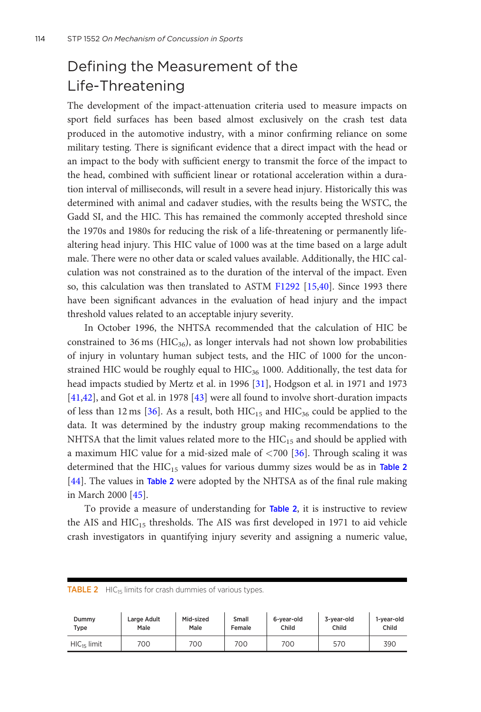## Defining the Measurement of the Life-Threatening

The development of the impact-attenuation criteria used to measure impacts on sport field surfaces has been based almost exclusively on the crash test data produced in the automotive industry, with a minor confirming reliance on some military testing. There is significant evidence that a direct impact with the head or an impact to the body with sufficient energy to transmit the force of the impact to the head, combined with sufficient linear or rotational acceleration within a duration interval of milliseconds, will result in a severe head injury. Historically this was determined with animal and cadaver studies, with the results being the WSTC, the Gadd SI, and the HIC. This has remained the commonly accepted threshold since the 1970s and 1980s for reducing the risk of a life-threatening or permanently lifealtering head injury. This HIC value of 1000 was at the time based on a large adult male. There were no other data or scaled values available. Additionally, the HIC calculation was not constrained as to the duration of the interval of the impact. Even so, this calculation was then translated to ASTM [F1292](http://www.astm.org/Standards/F1292) [\[15,](#page-19-0)[40\]](#page-20-0). Since 1993 there have been significant advances in the evaluation of head injury and the impact threshold values related to an acceptable injury severity.

In October 1996, the NHTSA recommended that the calculation of HIC be constrained to 36 ms ( $HIC<sub>36</sub>$ ), as longer intervals had not shown low probabilities of injury in voluntary human subject tests, and the HIC of 1000 for the unconstrained HIC would be roughly equal to  $HIC_{36}$  1000. Additionally, the test data for head impacts studied by Mertz et al. in 1996 [\[31](#page-20-0)], Hodgson et al. in 1971 and 1973 [\[41,42\]](#page-20-0), and Got et al. in 1978 [[43](#page-21-0)] were all found to involve short-duration impacts of less than 12 ms [\[36](#page-20-0)]. As a result, both  $HIC_{15}$  and  $HIC_{36}$  could be applied to the data. It was determined by the industry group making recommendations to the NHTSA that the limit values related more to the  $HIC_{15}$  and should be applied with a maximum HIC value for a mid-sized male of  $\langle 700 \; [36]$  $\langle 700 \; [36]$ . Through scaling it was determined that the  $HIC_{15}$  values for various dummy sizes would be as in Table 2 [\[44](#page-21-0)]. The values in Table 2 were adopted by the NHTSA as of the final rule making in March 2000 [\[45](#page-21-0)].

To provide a measure of understanding for Table 2, it is instructive to review the AIS and  $HIC_{15}$  thresholds. The AIS was first developed in 1971 to aid vehicle crash investigators in quantifying injury severity and assigning a numeric value,

| <b>TABLE 2</b> HIC <sub>15</sub> limits for crash dummies of various types. |                     |                   |                 |                     |                     |                     |  |
|-----------------------------------------------------------------------------|---------------------|-------------------|-----------------|---------------------|---------------------|---------------------|--|
| Dummy<br>Type                                                               | Large Adult<br>Male | Mid-sized<br>Male | Small<br>Female | 6-year-old<br>Child | 3-year-old<br>Child | 1-year-old<br>Child |  |
| $HIC_{15}$ limit                                                            | 700                 | 700               | 700             | 700                 | 570                 | 390                 |  |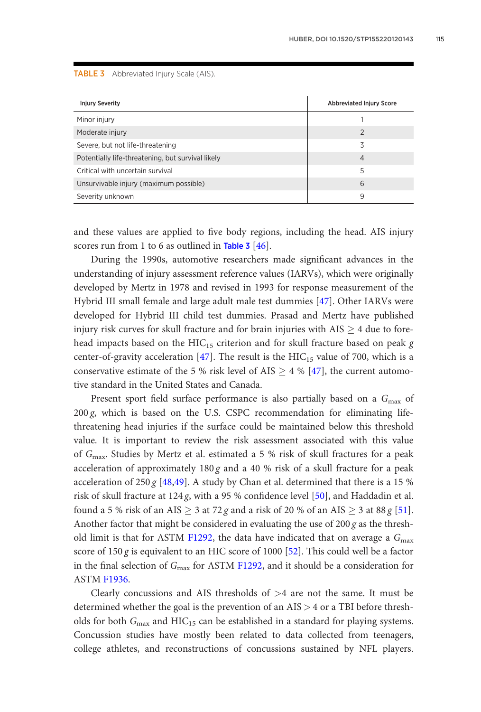TABLE 3 Abbreviated Injury Scale (AIS).

| <b>Injury Severity</b>                            | <b>Abbreviated Injury Score</b> |  |  |
|---------------------------------------------------|---------------------------------|--|--|
| Minor injury                                      |                                 |  |  |
| Moderate injury                                   | $\mathfrak{D}$                  |  |  |
| Severe, but not life-threatening                  | 3                               |  |  |
| Potentially life-threatening, but survival likely | $\overline{4}$                  |  |  |
| Critical with uncertain survival                  | 5                               |  |  |
| Unsurvivable injury (maximum possible)            | 6                               |  |  |
| Severity unknown                                  | 9                               |  |  |

and these values are applied to five body regions, including the head. AIS injury scores run from 1 to 6 as outlined in Table 3  $[46]$  $[46]$ .

During the 1990s, automotive researchers made significant advances in the understanding of injury assessment reference values (IARVs), which were originally developed by Mertz in 1978 and revised in 1993 for response measurement of the Hybrid III small female and large adult male test dummies [[47\]](#page-21-0). Other IARVs were developed for Hybrid III child test dummies. Prasad and Mertz have published injury risk curves for skull fracture and for brain injuries with  $AIS \geq 4$  due to forehead impacts based on the  $HIC_{15}$  criterion and for skull fracture based on peak g center-of-gravity acceleration [\[47](#page-21-0)]. The result is the  $HIC_{15}$  value of 700, which is a conservative estimate of the 5 % risk level of AIS  $\geq$  4 % [\[47\]](#page-21-0), the current automotive standard in the United States and Canada.

Present sport field surface performance is also partially based on a  $G_{\text{max}}$  of 200 g, which is based on the U.S. CSPC recommendation for eliminating lifethreatening head injuries if the surface could be maintained below this threshold value. It is important to review the risk assessment associated with this value of Gmax. Studies by Mertz et al. estimated a 5 % risk of skull fractures for a peak acceleration of approximately  $180 g$  and a 40 % risk of a skull fracture for a peak acceleration of 250 g [[48,49](#page-21-0)]. A study by Chan et al. determined that there is a 15 % risk of skull fracture at 124 g, with a 95 % confidence level  $[50]$  $[50]$ , and Haddadin et al. found a 5 % risk of an AIS  $\geq$  3 at 72 g and a risk of 20 % of an AIS  $\geq$  3 at 88 g [[51\]](#page-21-0). Another factor that might be considered in evaluating the use of  $200 g$  as the thresh-old limit is that for ASTM [F1292,](http://www.astm.org/Standards/F1292) the data have indicated that on average a  $G_{\rm max}$ score of  $150 g$  is equivalent to an HIC score of  $1000$  [[52\]](#page-21-0). This could well be a factor in the final selection of  $G_{\text{max}}$  for ASTM [F1292](http://www.astm.org/Standards/F1292), and it should be a consideration for ASTM [F1936.](http://www.astm.org/Standards/F1936)

Clearly concussions and AIS thresholds of  $>4$  are not the same. It must be determined whether the goal is the prevention of an AIS > 4 or a TBI before thresholds for both  $G_{\text{max}}$  and  $HIC_{15}$  can be established in a standard for playing systems. Concussion studies have mostly been related to data collected from teenagers, college athletes, and reconstructions of concussions sustained by NFL players.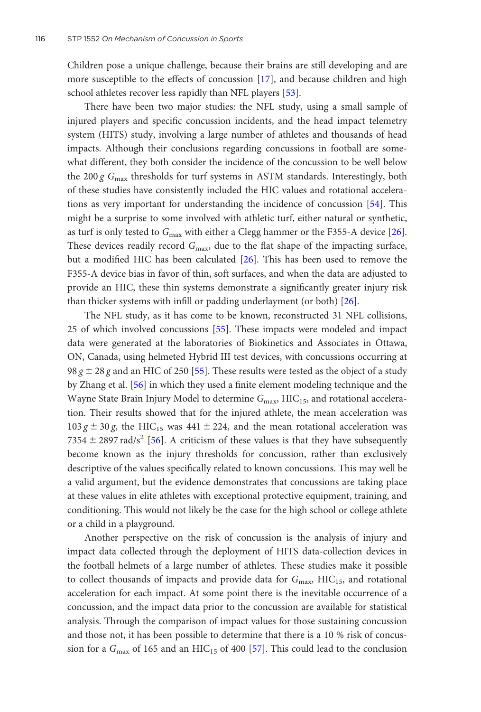Children pose a unique challenge, because their brains are still developing and are more susceptible to the effects of concussion [[17\]](#page-19-0), and because children and high school athletes recover less rapidly than NFL players [\[53\]](#page-21-0).

There have been two major studies: the NFL study, using a small sample of injured players and specific concussion incidents, and the head impact telemetry system (HITS) study, involving a large number of athletes and thousands of head impacts. Although their conclusions regarding concussions in football are somewhat different, they both consider the incidence of the concussion to be well below the 200 g  $G_{\text{max}}$  thresholds for turf systems in ASTM standards. Interestingly, both of these studies have consistently included the HIC values and rotational accelerations as very important for understanding the incidence of concussion [\[54](#page-21-0)]. This might be a surprise to some involved with athletic turf, either natural or synthetic, as turf is only tested to  $G_{\text{max}}$  with either a Clegg hammer or the F355-A device [[26\]](#page-20-0). These devices readily record  $G_{\text{max}}$ , due to the flat shape of the impacting surface, but a modified HIC has been calculated [[26](#page-20-0)]. This has been used to remove the F355-A device bias in favor of thin, soft surfaces, and when the data are adjusted to provide an HIC, these thin systems demonstrate a significantly greater injury risk than thicker systems with infill or padding underlayment (or both) [[26](#page-20-0)].

The NFL study, as it has come to be known, reconstructed 31 NFL collisions, 25 of which involved concussions [[55](#page-21-0)]. These impacts were modeled and impact data were generated at the laboratories of Biokinetics and Associates in Ottawa, ON, Canada, using helmeted Hybrid III test devices, with concussions occurring at 98 g  $\pm$  28 g and an HIC of 250 [\[55](#page-21-0)]. These results were tested as the object of a study by Zhang et al. [[56](#page-21-0)] in which they used a finite element modeling technique and the Wayne State Brain Injury Model to determine  $G_{\text{max}}$ , HIC<sub>15</sub>, and rotational acceleration. Their results showed that for the injured athlete, the mean acceleration was  $103 \text{ g} \pm 30 \text{ g}$ , the HIC<sub>15</sub> was 441  $\pm$  224, and the mean rotational acceleration was 7354  $\pm$  2897 rad/s<sup>2</sup> [\[56](#page-21-0)]. A criticism of these values is that they have subsequently become known as the injury thresholds for concussion, rather than exclusively descriptive of the values specifically related to known concussions. This may well be a valid argument, but the evidence demonstrates that concussions are taking place at these values in elite athletes with exceptional protective equipment, training, and conditioning. This would not likely be the case for the high school or college athlete or a child in a playground.

Another perspective on the risk of concussion is the analysis of injury and impact data collected through the deployment of HITS data-collection devices in the football helmets of a large number of athletes. These studies make it possible to collect thousands of impacts and provide data for  $G_{\text{max}}$ , HIC<sub>15</sub>, and rotational acceleration for each impact. At some point there is the inevitable occurrence of a concussion, and the impact data prior to the concussion are available for statistical analysis. Through the comparison of impact values for those sustaining concussion and those not, it has been possible to determine that there is a 10 % risk of concussion for a  $G_{\text{max}}$  of 165 and an HIC<sub>15</sub> of 400 [[57](#page-21-0)]. This could lead to the conclusion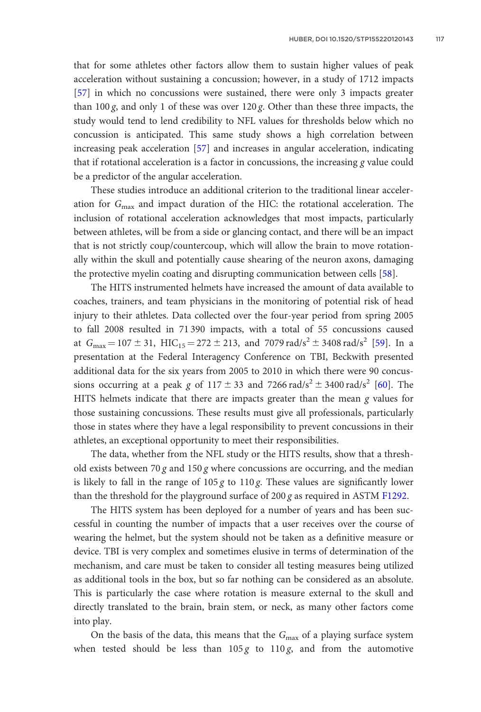that for some athletes other factors allow them to sustain higher values of peak acceleration without sustaining a concussion; however, in a study of 1712 impacts [\[57](#page-21-0)] in which no concussions were sustained, there were only 3 impacts greater than 100 g, and only 1 of these was over  $120$  g. Other than these three impacts, the study would tend to lend credibility to NFL values for thresholds below which no concussion is anticipated. This same study shows a high correlation between increasing peak acceleration [\[57](#page-21-0)] and increases in angular acceleration, indicating that if rotational acceleration is a factor in concussions, the increasing g value could be a predictor of the angular acceleration.

These studies introduce an additional criterion to the traditional linear acceleration for  $G_{\text{max}}$  and impact duration of the HIC: the rotational acceleration. The inclusion of rotational acceleration acknowledges that most impacts, particularly between athletes, will be from a side or glancing contact, and there will be an impact that is not strictly coup/countercoup, which will allow the brain to move rotationally within the skull and potentially cause shearing of the neuron axons, damaging the protective myelin coating and disrupting communication between cells [[58\]](#page-22-0).

The HITS instrumented helmets have increased the amount of data available to coaches, trainers, and team physicians in the monitoring of potential risk of head injury to their athletes. Data collected over the four-year period from spring 2005 to fall 2008 resulted in 71 390 impacts, with a total of 55 concussions caused at  $G_{\text{max}} = 107 \pm 31$ ,  $\text{HIC}_{15} = 272 \pm 213$ , and 7079 rad/s<sup>2</sup>  $\pm$  3408 rad/s<sup>2</sup> [\[59](#page-22-0)]. In a presentation at the Federal Interagency Conference on TBI, Beckwith presented additional data for the six years from 2005 to 2010 in which there were 90 concussions occurring at a peak g of  $117 \pm 33$  and  $7266 \text{ rad/s}^2 \pm 3400 \text{ rad/s}^2$  [[60\]](#page-22-0). The HITS helmets indicate that there are impacts greater than the mean  $g$  values for those sustaining concussions. These results must give all professionals, particularly those in states where they have a legal responsibility to prevent concussions in their athletes, an exceptional opportunity to meet their responsibilities.

The data, whether from the NFL study or the HITS results, show that a threshold exists between 70 g and 150 g where concussions are occurring, and the median is likely to fall in the range of  $105 g$  to  $110 g$ . These values are significantly lower than the threshold for the playground surface of 200 g as required in ASTM [F1292.](http://www.astm.org/Standards/F1292)

The HITS system has been deployed for a number of years and has been successful in counting the number of impacts that a user receives over the course of wearing the helmet, but the system should not be taken as a definitive measure or device. TBI is very complex and sometimes elusive in terms of determination of the mechanism, and care must be taken to consider all testing measures being utilized as additional tools in the box, but so far nothing can be considered as an absolute. This is particularly the case where rotation is measure external to the skull and directly translated to the brain, brain stem, or neck, as many other factors come into play.

On the basis of the data, this means that the  $G_{\text{max}}$  of a playing surface system when tested should be less than  $105g$  to  $110g$ , and from the automotive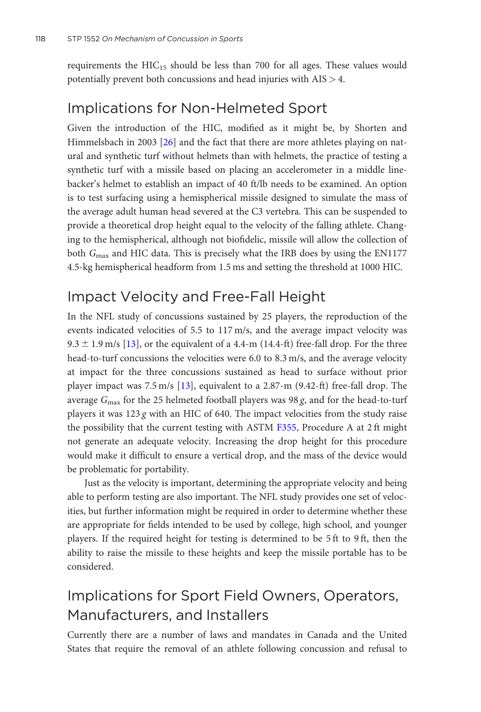requirements the  $HIC_{15}$  should be less than 700 for all ages. These values would potentially prevent both concussions and head injuries with AIS > 4.

### Implications for Non-Helmeted Sport

Given the introduction of the HIC, modified as it might be, by Shorten and Himmelsbach in 2003 [[26\]](#page-20-0) and the fact that there are more athletes playing on natural and synthetic turf without helmets than with helmets, the practice of testing a synthetic turf with a missile based on placing an accelerometer in a middle linebacker's helmet to establish an impact of 40 ft/lb needs to be examined. An option is to test surfacing using a hemispherical missile designed to simulate the mass of the average adult human head severed at the C3 vertebra. This can be suspended to provide a theoretical drop height equal to the velocity of the falling athlete. Changing to the hemispherical, although not biofidelic, missile will allow the collection of both  $G_{\text{max}}$  and HIC data. This is precisely what the IRB does by using the EN1177 4.5-kg hemispherical headform from 1.5 ms and setting the threshold at 1000 HIC.

### Impact Velocity and Free-Fall Height

In the NFL study of concussions sustained by 25 players, the reproduction of the events indicated velocities of 5.5 to 117 m/s, and the average impact velocity was  $9.3 \pm 1.9$  m/s [\[13](#page-19-0)], or the equivalent of a 4.4-m (14.4-ft) free-fall drop. For the three head-to-turf concussions the velocities were 6.0 to 8.3 m/s, and the average velocity at impact for the three concussions sustained as head to surface without prior player impact was 7.5 m/s [[13](#page-19-0)], equivalent to a 2.87-m (9.42-ft) free-fall drop. The average  $G_{\text{max}}$  for the 25 helmeted football players was 98 g, and for the head-to-turf players it was  $123 g$  with an HIC of 640. The impact velocities from the study raise the possibility that the current testing with ASTM [F355,](http://www.astm.org/Standards/F355) Procedure A at 2 ft might not generate an adequate velocity. Increasing the drop height for this procedure would make it difficult to ensure a vertical drop, and the mass of the device would be problematic for portability.

Just as the velocity is important, determining the appropriate velocity and being able to perform testing are also important. The NFL study provides one set of velocities, but further information might be required in order to determine whether these are appropriate for fields intended to be used by college, high school, and younger players. If the required height for testing is determined to be 5 ft to 9 ft, then the ability to raise the missile to these heights and keep the missile portable has to be considered.

# Implications for Sport Field Owners, Operators, Manufacturers, and Installers

Currently there are a number of laws and mandates in Canada and the United States that require the removal of an athlete following concussion and refusal to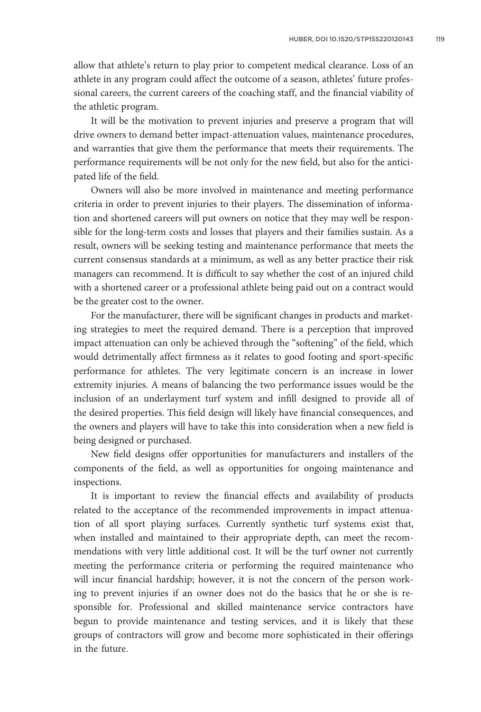allow that athlete's return to play prior to competent medical clearance. Loss of an athlete in any program could affect the outcome of a season, athletes' future professional careers, the current careers of the coaching staff, and the financial viability of the athletic program.

It will be the motivation to prevent injuries and preserve a program that will drive owners to demand better impact-attenuation values, maintenance procedures, and warranties that give them the performance that meets their requirements. The performance requirements will be not only for the new field, but also for the anticipated life of the field.

Owners will also be more involved in maintenance and meeting performance criteria in order to prevent injuries to their players. The dissemination of information and shortened careers will put owners on notice that they may well be responsible for the long-term costs and losses that players and their families sustain. As a result, owners will be seeking testing and maintenance performance that meets the current consensus standards at a minimum, as well as any better practice their risk managers can recommend. It is difficult to say whether the cost of an injured child with a shortened career or a professional athlete being paid out on a contract would be the greater cost to the owner.

For the manufacturer, there will be significant changes in products and marketing strategies to meet the required demand. There is a perception that improved impact attenuation can only be achieved through the "softening" of the field, which would detrimentally affect firmness as it relates to good footing and sport-specific performance for athletes. The very legitimate concern is an increase in lower extremity injuries. A means of balancing the two performance issues would be the inclusion of an underlayment turf system and infill designed to provide all of the desired properties. This field design will likely have financial consequences, and the owners and players will have to take this into consideration when a new field is being designed or purchased.

New field designs offer opportunities for manufacturers and installers of the components of the field, as well as opportunities for ongoing maintenance and inspections.

It is important to review the financial effects and availability of products related to the acceptance of the recommended improvements in impact attenuation of all sport playing surfaces. Currently synthetic turf systems exist that, when installed and maintained to their appropriate depth, can meet the recommendations with very little additional cost. It will be the turf owner not currently meeting the performance criteria or performing the required maintenance who will incur financial hardship; however, it is not the concern of the person working to prevent injuries if an owner does not do the basics that he or she is responsible for. Professional and skilled maintenance service contractors have begun to provide maintenance and testing services, and it is likely that these groups of contractors will grow and become more sophisticated in their offerings in the future.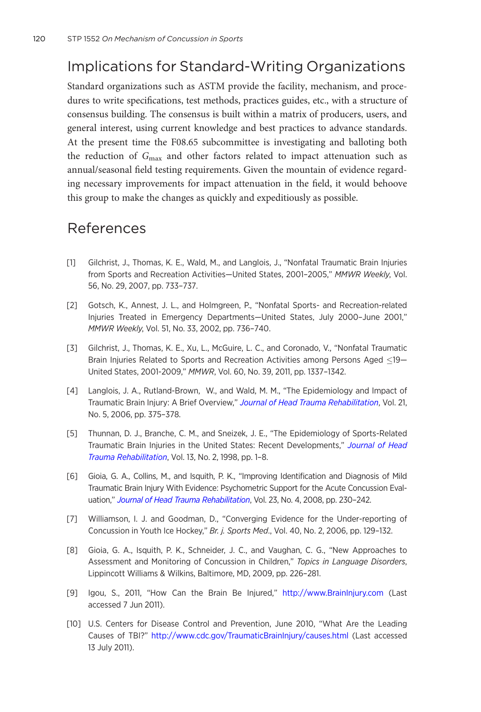### <span id="page-18-0"></span>Implications for Standard-Writing Organizations

Standard organizations such as ASTM provide the facility, mechanism, and procedures to write specifications, test methods, practices guides, etc., with a structure of consensus building. The consensus is built within a matrix of producers, users, and general interest, using current knowledge and best practices to advance standards. At the present time the F08.65 subcommittee is investigating and balloting both the reduction of  $G_{\text{max}}$  and other factors related to impact attenuation such as annual/seasonal field testing requirements. Given the mountain of evidence regarding necessary improvements for impact attenuation in the field, it would behoove this group to make the changes as quickly and expeditiously as possible.

#### References

- [1] Gilchrist, J., Thomas, K. E., Wald, M., and Langlois, J., "Nonfatal Traumatic Brain Injuries from Sports and Recreation Activities-United States, 2001-2005," MMWR Weekly, Vol. 56, No. 29, 2007, pp. 733–737.
- [2] Gotsch, K., Annest, J. L., and Holmgreen, P., "Nonfatal Sports- and Recreation-related Injuries Treated in Emergency Departments—United States, July 2000–June 2001," MMWR Weekly, Vol. 51, No. 33, 2002, pp. 736–740.
- [3] Gilchrist, J., Thomas, K. E., Xu, L., McGuire, L. C., and Coronado, V., "Nonfatal Traumatic Brain Injuries Related to Sports and Recreation Activities among Persons Aged  $\leq$ 19 $-$ United States, 2001-2009," MMWR, Vol. 60, No. 39, 2011, pp. 1337–1342.
- [4] Langlois, J. A., Rutland-Brown, W., and Wald, M. M., "The Epidemiology and Impact of Traumatic Brain Injury: A Brief Overview," [Journal of Head Trauma Rehabilitation](http://dx.doi.org/10.1097/00001199-200609000-00001), Vol. 21, No. 5, 2006, pp. 375–378.
- [5] Thunnan, D. J., Branche, C. M., and Sneizek, J. E., "The Epidemiology of Sports-Related Traumatic Brain Injuries in the United States: Recent Developments," [Journal of Head](http://dx.doi.org/10.1097/00001199-199804000-00003) [Trauma Rehabilitation](http://dx.doi.org/10.1097/00001199-199804000-00003), Vol. 13, No. 2, 1998, pp. 1–8.
- [6] Gioia, G. A., Collins, M., and Isquith, P. K., "Improving Identification and Diagnosis of Mild Traumatic Brain Injury With Evidence: Psychometric Support for the Acute Concussion Eval-uation," [Journal of Head Trauma Rehabilitation](http://dx.doi.org/10.1097/01.HTR.0000327255.38881.ca), Vol. 23, No. 4, 2008, pp. 230-242.
- [7] Williamson, I. J. and Goodman, D., "Converging Evidence for the Under-reporting of Concussion in Youth Ice Hockey," Br. j. Sports Med., Vol. 40, No. 2, 2006, pp. 129–132.
- [8] Gioia, G. A., Isquith, P. K., Schneider, J. C., and Vaughan, C. G., "New Approaches to Assessment and Monitoring of Concussion in Children," Topics in Language Disorders, Lippincott Williams & Wilkins, Baltimore, MD, 2009, pp. 226–281.
- [9] Igou, S., 2011, "How Can the Brain Be Injured," <http://www.BrainInjury.com> (Last accessed 7 Jun 2011).
- [10] U.S. Centers for Disease Control and Prevention, June 2010, "What Are the Leading Causes of TBI?" <http://www.cdc.gov/TraumaticBrainInjury/causes.html> (Last accessed 13 July 2011).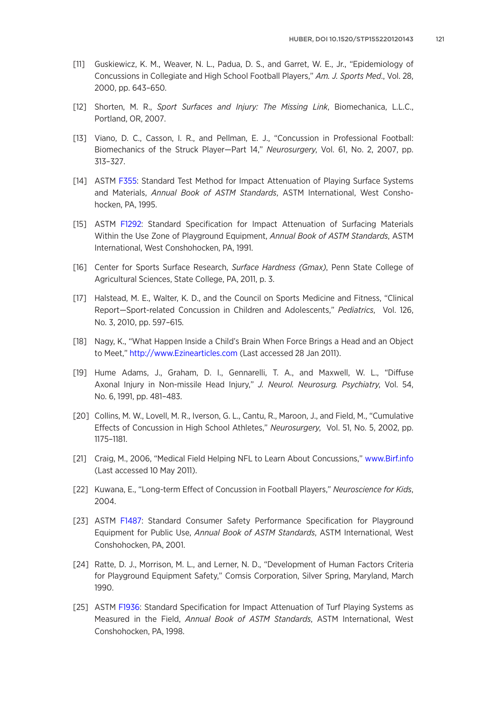- <span id="page-19-0"></span>[11] Guskiewicz, K. M., Weaver, N. L., Padua, D. S., and Garret, W. E., Jr., "Epidemiology of Concussions in Collegiate and High School Football Players," Am. J. Sports Med., Vol. 28, 2000, pp. 643–650.
- [12] Shorten, M. R., Sport Surfaces and Injury: The Missing Link, Biomechanica, L.L.C., Portland, OR, 2007.
- [13] Viano, D. C., Casson, I. R., and Pellman, E. J., "Concussion in Professional Football: Biomechanics of the Struck Player—Part 14," Neurosurgery, Vol. 61, No. 2, 2007, pp. 313–327.
- [14] ASTM [F355:](http://www.astm.org/Standards/F355) Standard Test Method for Impact Attenuation of Playing Surface Systems and Materials, Annual Book of ASTM Standards, ASTM International, West Conshohocken, PA, 1995.
- [15] ASTM [F1292](http://www.astm.org/Standards/F1292): Standard Specification for Impact Attenuation of Surfacing Materials Within the Use Zone of Playground Equipment, Annual Book of ASTM Standards, ASTM International, West Conshohocken, PA, 1991.
- [16] Center for Sports Surface Research, Surface Hardness (Gmax), Penn State College of Agricultural Sciences, State College, PA, 2011, p. 3.
- [17] Halstead, M. E., Walter, K. D., and the Council on Sports Medicine and Fitness, "Clinical Report—Sport-related Concussion in Children and Adolescents," Pediatrics, Vol. 126, No. 3, 2010, pp. 597–615.
- [18] Nagy, K., "What Happen Inside a Child's Brain When Force Brings a Head and an Object to Meet," <http://www.Ezinearticles.com> (Last accessed 28 Jan 2011).
- [19] Hume Adams, J., Graham, D. I., Gennarelli, T. A., and Maxwell, W. L., "Diffuse Axonal Injury in Non-missile Head Injury," J. Neurol. Neurosurg. Psychiatry, Vol. 54, No. 6, 1991, pp. 481–483.
- [20] Collins, M. W., Lovell, M. R., Iverson, G. L., Cantu, R., Maroon, J., and Field, M., "Cumulative Effects of Concussion in High School Athletes," Neurosurgery, Vol. 51, No. 5, 2002, pp. 1175–1181.
- [21] Craig, M., 2006, "Medical Field Helping NFL to Learn About Concussions," <www.Birf.info> (Last accessed 10 May 2011).
- [22] Kuwana, E., "Long-term Effect of Concussion in Football Players," Neuroscience for Kids, 2004.
- [23] ASTM [F1487](http://www.astm.org/Standards/F1487): Standard Consumer Safety Performance Specification for Playground Equipment for Public Use, Annual Book of ASTM Standards, ASTM International, West Conshohocken, PA, 2001.
- [24] Ratte, D. J., Morrison, M. L., and Lerner, N. D., "Development of Human Factors Criteria for Playground Equipment Safety," Comsis Corporation, Silver Spring, Maryland, March 1990.
- [25] ASTM [F1936:](http://www.astm.org/Standards/F1936) Standard Specification for Impact Attenuation of Turf Playing Systems as Measured in the Field, Annual Book of ASTM Standards, ASTM International, West Conshohocken, PA, 1998.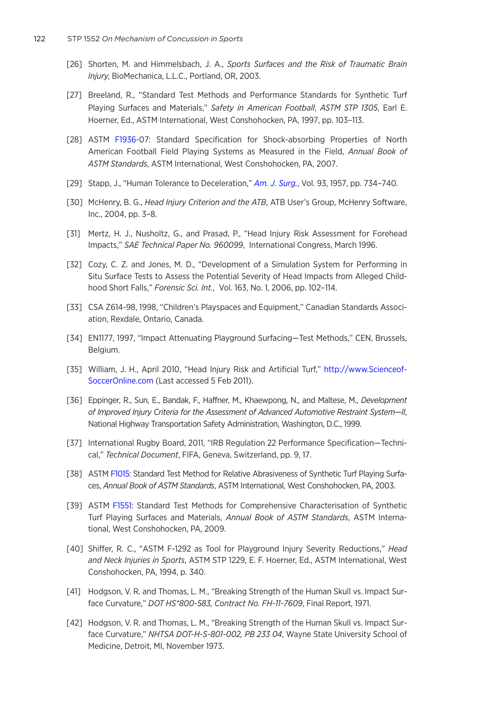- <span id="page-20-0"></span>[26] Shorten, M. and Himmelsbach, J. A., Sports Surfaces and the Risk of Traumatic Brain Injury, BioMechanica, L.L.C., Portland, OR, 2003.
- [27] Breeland, R., "Standard Test Methods and Performance Standards for Synthetic Turf Playing Surfaces and Materials," Safety in American Football, ASTM STP 1305, Earl E. Hoerner, Ed., ASTM International, West Conshohocken, PA, 1997, pp. 103–113.
- [28] ASTM [F1936](http://www.astm.org/Standards/F1936)-07: Standard Specification for Shock-absorbing Properties of North American Football Field Playing Systems as Measured in the Field, Annual Book of ASTM Standards, ASTM International, West Conshohocken, PA, 2007.
- [29] Stapp, J., "Human Tolerance to Deceleration," [Am. J. Surg.](http://dx.doi.org/10.1016/0002-9610(57)90540-8), Vol. 93, 1957, pp. 734-740.
- [30] McHenry, B. G., Head Injury Criterion and the ATB, ATB User's Group, McHenry Software, Inc., 2004, pp. 3–8.
- [31] Mertz, H. J., Nusholtz, G., and Prasad, P., "Head Injury Risk Assessment for Forehead Impacts," SAE Technical Paper No. 960099, International Congress, March 1996.
- [32] Cozy, C. Z. and Jones, M. D., "Development of a Simulation System for Performing in Situ Surface Tests to Assess the Potential Severity of Head Impacts from Alleged Childhood Short Falls," Forensic Sci. Int., Vol. 163, No. 1, 2006, pp. 102–114.
- [33] CSA Z614-98, 1998, "Children's Playspaces and Equipment," Canadian Standards Association, Rexdale, Ontario, Canada.
- [34] EN1177, 1997, "Impact Attenuating Playground Surfacing—Test Methods," CEN, Brussels, Belgium.
- [35] William, J. H., April 2010, "Head Injury Risk and Artificial Turf," [http://www.Scienceof-](http://www.ScienceofSoccerOnline.com)[SoccerOnline.com](http://www.ScienceofSoccerOnline.com) (Last accessed 5 Feb 2011).
- [36] Eppinger, R., Sun, E., Bandak, F., Haffner, M., Khaewpong, N., and Maltese, M., Development of Improved Injury Criteria for the Assessment of Advanced Automotive Restraint System—II, National Highway Transportation Safety Administration, Washington, D.C., 1999.
- [37] International Rugby Board, 2011, "IRB Regulation 22 Performance Specification—Technical," Technical Document, FIFA, Geneva, Switzerland, pp. 9, 17.
- [38] ASTM [F1015:](http://www.astm.org/Standards/F1015) Standard Test Method for Relative Abrasiveness of Synthetic Turf Playing Surfaces, Annual Book of ASTM Standards, ASTM International, West Conshohocken, PA, 2003.
- [39] ASTM [F1551](http://www.astm.org/Standards/F1551): Standard Test Methods for Comprehensive Characterisation of Synthetic Turf Playing Surfaces and Materials, Annual Book of ASTM Standards, ASTM International, West Conshohocken, PA, 2009.
- [40] Shiffer, R. C., "ASTM F-1292 as Tool for Playground Injury Severity Reductions," Head and Neck Injuries in Sports, ASTM STP 1229, E. F. Hoerner, Ed., ASTM International, West Conshohocken, PA, 1994, p. 340.
- [41] Hodgson, V. R. and Thomas, L. M., "Breaking Strength of the Human Skull vs. Impact Surface Curvature," DOT HS\*800-583, Contract No. FH-11-7609, Final Report, 1971.
- [42] Hodgson, V. R. and Thomas, L. M., "Breaking Strength of the Human Skull vs. Impact Surface Curvature," NHTSA DOT-H-S-801-002, PB 233 04, Wayne State University School of Medicine, Detroit, MI, November 1973.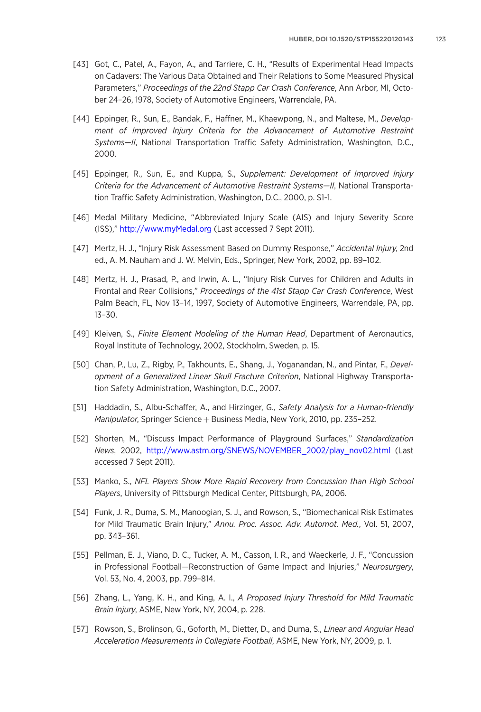- <span id="page-21-0"></span>[43] Got, C., Patel, A., Fayon, A., and Tarriere, C. H., "Results of Experimental Head Impacts on Cadavers: The Various Data Obtained and Their Relations to Some Measured Physical Parameters," Proceedings of the 22nd Stapp Car Crash Conference, Ann Arbor, MI, October 24–26, 1978, Society of Automotive Engineers, Warrendale, PA.
- [44] Eppinger, R., Sun, E., Bandak, F., Haffner, M., Khaewpong, N., and Maltese, M., Development of Improved Injury Criteria for the Advancement of Automotive Restraint Systems—II, National Transportation Traffic Safety Administration, Washington, D.C., 2000.
- [45] Eppinger, R., Sun, E., and Kuppa, S., Supplement: Development of Improved Injury Criteria for the Advancement of Automotive Restraint Systems—II, National Transportation Traffic Safety Administration, Washington, D.C., 2000, p. S1-1.
- [46] Medal Military Medicine, "Abbreviated Injury Scale (AIS) and Injury Severity Score (ISS)," <http://www.myMedal.org> (Last accessed 7 Sept 2011).
- [47] Mertz, H. J., "Injury Risk Assessment Based on Dummy Response," Accidental Injury, 2nd ed., A. M. Nauham and J. W. Melvin, Eds., Springer, New York, 2002, pp. 89–102.
- [48] Mertz, H. J., Prasad, P., and Irwin, A. L., "Injury Risk Curves for Children and Adults in Frontal and Rear Collisions," Proceedings of the 41st Stapp Car Crash Conference, West Palm Beach, FL, Nov 13–14, 1997, Society of Automotive Engineers, Warrendale, PA, pp. 13–30.
- [49] Kleiven, S., Finite Element Modeling of the Human Head, Department of Aeronautics, Royal Institute of Technology, 2002, Stockholm, Sweden, p. 15.
- [50] Chan, P., Lu, Z., Rigby, P., Takhounts, E., Shang, J., Yoganandan, N., and Pintar, F., Development of a Generalized Linear Skull Fracture Criterion, National Highway Transportation Safety Administration, Washington, D.C., 2007.
- [51] Haddadin, S., Albu-Schaffer, A., and Hirzinger, G., Safety Analysis for a Human-friendly *Manipulator*, Springer Science  $+$  Business Media, New York, 2010, pp. 235–252.
- [52] Shorten, M., "Discuss Impact Performance of Playground Surfaces," Standardization News, 2002, [http://www.astm.org/SNEWS/NOVEMBER\\_2002/play\\_nov02.html](http://www.astm.org/SNEWS/NOVEMBER_2002/play_nov02.html) (Last accessed 7 Sept 2011).
- [53] Manko, S., NFL Players Show More Rapid Recovery from Concussion than High School Players, University of Pittsburgh Medical Center, Pittsburgh, PA, 2006.
- [54] Funk, J. R., Duma, S. M., Manoogian, S. J., and Rowson, S., "Biomechanical Risk Estimates for Mild Traumatic Brain Injury," Annu. Proc. Assoc. Adv. Automot. Med., Vol. 51, 2007, pp. 343–361.
- [55] Pellman, E. J., Viano, D. C., Tucker, A. M., Casson, I. R., and Waeckerle, J. F., "Concussion in Professional Football—Reconstruction of Game Impact and Injuries," Neurosurgery, Vol. 53, No. 4, 2003, pp. 799–814.
- [56] Zhang, L., Yang, K. H., and King, A. I., A Proposed Injury Threshold for Mild Traumatic Brain Injury, ASME, New York, NY, 2004, p. 228.
- [57] Rowson, S., Brolinson, G., Goforth, M., Dietter, D., and Duma, S., Linear and Angular Head Acceleration Measurements in Collegiate Football, ASME, New York, NY, 2009, p. 1.